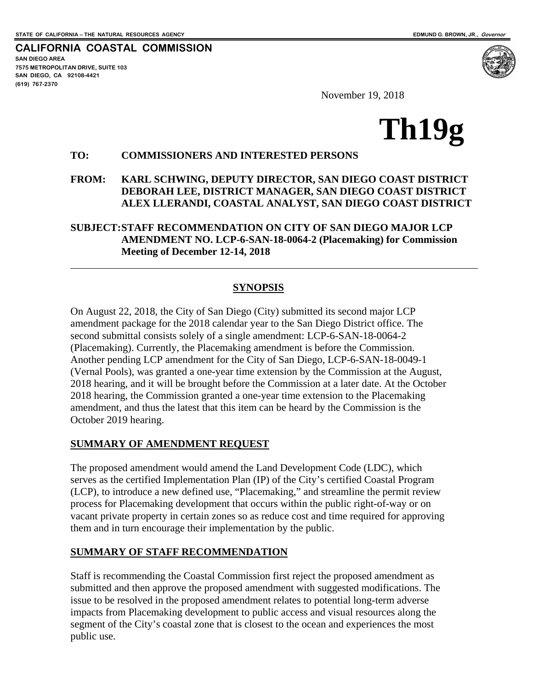**CALIFORNIA COASTAL COMMISSION SAN DIEGO AREA 7575 METROPOLITAN DRIVE, SUITE 103 SAN DIEGO, CA 92108-4421 (619) 767-2370**

November 19, 2018

# **Th19g**

#### **TO: COMMISSIONERS AND INTERESTED PERSONS**

#### **FROM: KARL SCHWING, DEPUTY DIRECTOR, SAN DIEGO COAST DISTRICT DEBORAH LEE, DISTRICT MANAGER, SAN DIEGO COAST DISTRICT ALEX LLERANDI, COASTAL ANALYST, SAN DIEGO COAST DISTRICT**

#### **SUBJECT:STAFF RECOMMENDATION ON CITY OF SAN DIEGO MAJOR LCP AMENDMENT NO. LCP-6-SAN-18-0064-2 (Placemaking) for Commission Meeting of December 12-14, 2018**

### **SYNOPSIS**

On August 22, 2018, the City of San Diego (City) submitted its second major LCP amendment package for the 2018 calendar year to the San Diego District office. The second submittal consists solely of a single amendment: LCP-6-SAN-18-0064-2 (Placemaking). Currently, the Placemaking amendment is before the Commission. Another pending LCP amendment for the City of San Diego, LCP-6-SAN-18-0049-1 (Vernal Pools), was granted a one-year time extension by the Commission at the August, 2018 hearing, and it will be brought before the Commission at a later date. At the October 2018 hearing, the Commission granted a one-year time extension to the Placemaking amendment, and thus the latest that this item can be heard by the Commission is the October 2019 hearing.

#### **SUMMARY OF AMENDMENT REQUEST**

The proposed amendment would amend the Land Development Code (LDC), which serves as the certified Implementation Plan (IP) of the City's certified Coastal Program (LCP), to introduce a new defined use, "Placemaking," and streamline the permit review process for Placemaking development that occurs within the public right-of-way or on vacant private property in certain zones so as reduce cost and time required for approving them and in turn encourage their implementation by the public.

#### **SUMMARY OF STAFF RECOMMENDATION**

Staff is recommending the Coastal Commission first reject the proposed amendment as submitted and then approve the proposed amendment with suggested modifications. The issue to be resolved in the proposed amendment relates to potential long-term adverse impacts from Placemaking development to public access and visual resources along the segment of the City's coastal zone that is closest to the ocean and experiences the most public use.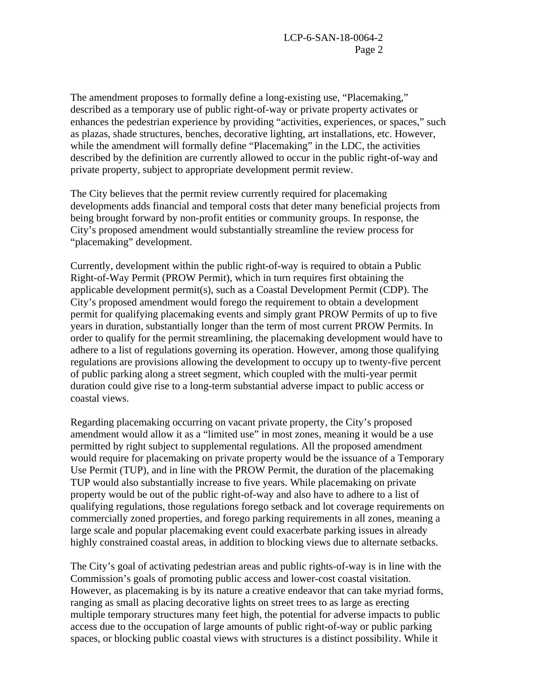The amendment proposes to formally define a long-existing use, "Placemaking," described as a temporary use of public right-of-way or private property activates or enhances the pedestrian experience by providing "activities, experiences, or spaces," such as plazas, shade structures, benches, decorative lighting, art installations, etc. However, while the amendment will formally define "Placemaking" in the LDC, the activities described by the definition are currently allowed to occur in the public right-of-way and private property, subject to appropriate development permit review.

The City believes that the permit review currently required for placemaking developments adds financial and temporal costs that deter many beneficial projects from being brought forward by non-profit entities or community groups. In response, the City's proposed amendment would substantially streamline the review process for "placemaking" development.

Currently, development within the public right-of-way is required to obtain a Public Right-of-Way Permit (PROW Permit), which in turn requires first obtaining the applicable development permit(s), such as a Coastal Development Permit (CDP). The City's proposed amendment would forego the requirement to obtain a development permit for qualifying placemaking events and simply grant PROW Permits of up to five years in duration, substantially longer than the term of most current PROW Permits. In order to qualify for the permit streamlining, the placemaking development would have to adhere to a list of regulations governing its operation. However, among those qualifying regulations are provisions allowing the development to occupy up to twenty-five percent of public parking along a street segment, which coupled with the multi-year permit duration could give rise to a long-term substantial adverse impact to public access or coastal views.

Regarding placemaking occurring on vacant private property, the City's proposed amendment would allow it as a "limited use" in most zones, meaning it would be a use permitted by right subject to supplemental regulations. All the proposed amendment would require for placemaking on private property would be the issuance of a Temporary Use Permit (TUP), and in line with the PROW Permit, the duration of the placemaking TUP would also substantially increase to five years. While placemaking on private property would be out of the public right-of-way and also have to adhere to a list of qualifying regulations, those regulations forego setback and lot coverage requirements on commercially zoned properties, and forego parking requirements in all zones, meaning a large scale and popular placemaking event could exacerbate parking issues in already highly constrained coastal areas, in addition to blocking views due to alternate setbacks.

The City's goal of activating pedestrian areas and public rights-of-way is in line with the Commission's goals of promoting public access and lower-cost coastal visitation. However, as placemaking is by its nature a creative endeavor that can take myriad forms, ranging as small as placing decorative lights on street trees to as large as erecting multiple temporary structures many feet high, the potential for adverse impacts to public access due to the occupation of large amounts of public right-of-way or public parking spaces, or blocking public coastal views with structures is a distinct possibility. While it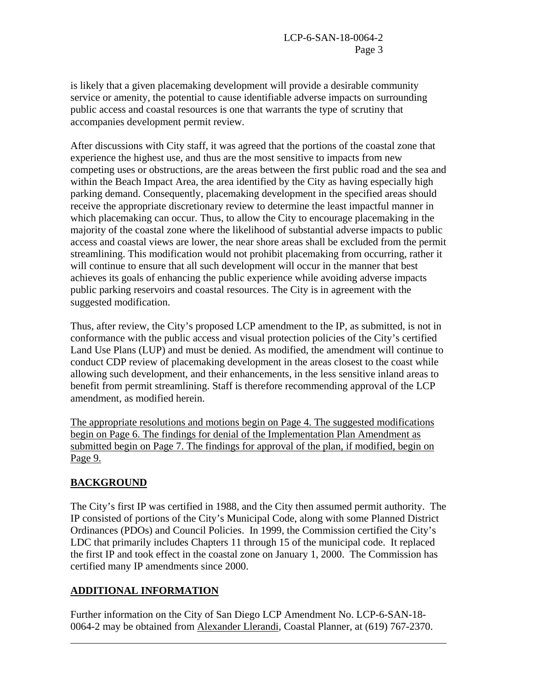is likely that a given placemaking development will provide a desirable community service or amenity, the potential to cause identifiable adverse impacts on surrounding public access and coastal resources is one that warrants the type of scrutiny that accompanies development permit review.

After discussions with City staff, it was agreed that the portions of the coastal zone that experience the highest use, and thus are the most sensitive to impacts from new competing uses or obstructions, are the areas between the first public road and the sea and within the Beach Impact Area, the area identified by the City as having especially high parking demand. Consequently, placemaking development in the specified areas should receive the appropriate discretionary review to determine the least impactful manner in which placemaking can occur. Thus, to allow the City to encourage placemaking in the majority of the coastal zone where the likelihood of substantial adverse impacts to public access and coastal views are lower, the near shore areas shall be excluded from the permit streamlining. This modification would not prohibit placemaking from occurring, rather it will continue to ensure that all such development will occur in the manner that best achieves its goals of enhancing the public experience while avoiding adverse impacts public parking reservoirs and coastal resources. The City is in agreement with the suggested modification.

Thus, after review, the City's proposed LCP amendment to the IP, as submitted, is not in conformance with the public access and visual protection policies of the City's certified Land Use Plans (LUP) and must be denied. As modified, the amendment will continue to conduct CDP review of placemaking development in the areas closest to the coast while allowing such development, and their enhancements, in the less sensitive inland areas to benefit from permit streamlining. Staff is therefore recommending approval of the LCP amendment, as modified herein.

The appropriate resolutions and motions begin on Page 4. The suggested modifications begin on Page 6. The findings for denial of the Implementation Plan Amendment as submitted begin on Page 7. The findings for approval of the plan, if modified, begin on Page 9.

# **BACKGROUND**

The City's first IP was certified in 1988, and the City then assumed permit authority. The IP consisted of portions of the City's Municipal Code, along with some Planned District Ordinances (PDOs) and Council Policies. In 1999, the Commission certified the City's LDC that primarily includes Chapters 11 through 15 of the municipal code. It replaced the first IP and took effect in the coastal zone on January 1, 2000. The Commission has certified many IP amendments since 2000.

### **ADDITIONAL INFORMATION**

Further information on the City of San Diego LCP Amendment No. LCP-6-SAN-18- 0064-2 may be obtained from Alexander Llerandi, Coastal Planner, at (619) 767-2370.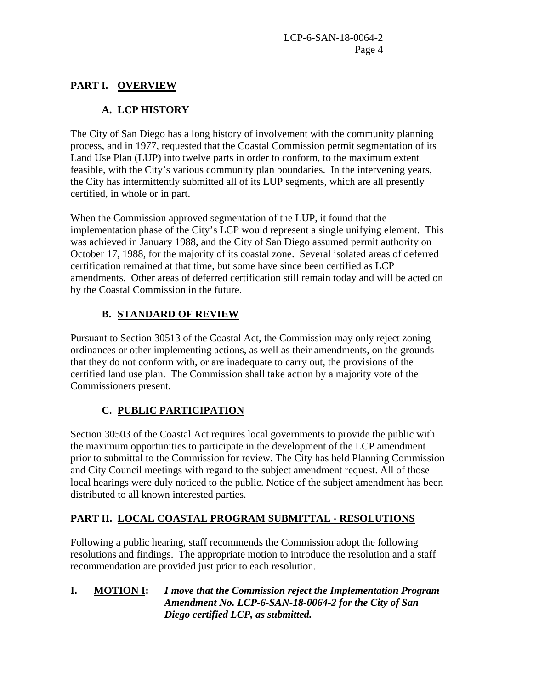## **PART I. OVERVIEW**

# **A. LCP HISTORY**

The City of San Diego has a long history of involvement with the community planning process, and in 1977, requested that the Coastal Commission permit segmentation of its Land Use Plan (LUP) into twelve parts in order to conform, to the maximum extent feasible, with the City's various community plan boundaries. In the intervening years, the City has intermittently submitted all of its LUP segments, which are all presently certified, in whole or in part.

When the Commission approved segmentation of the LUP, it found that the implementation phase of the City's LCP would represent a single unifying element. This was achieved in January 1988, and the City of San Diego assumed permit authority on October 17, 1988, for the majority of its coastal zone. Several isolated areas of deferred certification remained at that time, but some have since been certified as LCP amendments. Other areas of deferred certification still remain today and will be acted on by the Coastal Commission in the future.

# **B. STANDARD OF REVIEW**

Pursuant to Section 30513 of the Coastal Act, the Commission may only reject zoning ordinances or other implementing actions, as well as their amendments, on the grounds that they do not conform with, or are inadequate to carry out, the provisions of the certified land use plan. The Commission shall take action by a majority vote of the Commissioners present.

# **C. PUBLIC PARTICIPATION**

Section 30503 of the Coastal Act requires local governments to provide the public with the maximum opportunities to participate in the development of the LCP amendment prior to submittal to the Commission for review. The City has held Planning Commission and City Council meetings with regard to the subject amendment request. All of those local hearings were duly noticed to the public. Notice of the subject amendment has been distributed to all known interested parties.

# **PART II. LOCAL COASTAL PROGRAM SUBMITTAL - RESOLUTIONS**

Following a public hearing, staff recommends the Commission adopt the following resolutions and findings. The appropriate motion to introduce the resolution and a staff recommendation are provided just prior to each resolution.

### **I. MOTION I:** *I move that the Commission reject the Implementation Program Amendment No. LCP-6-SAN-18-0064-2 for the City of San Diego certified LCP, as submitted.*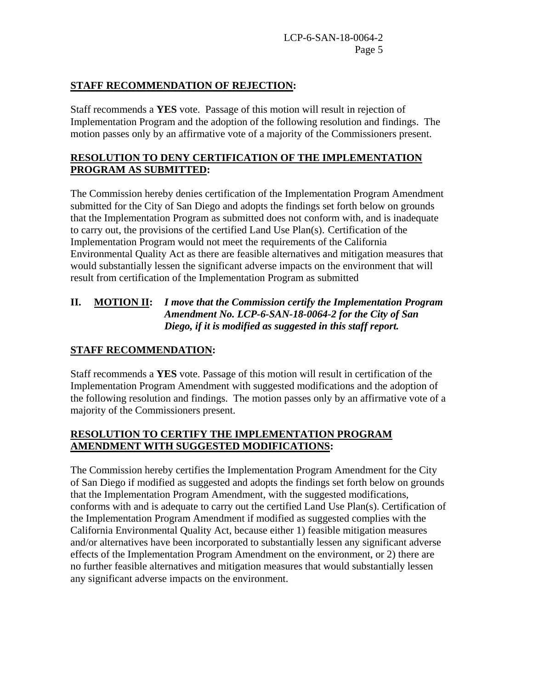#### **STAFF RECOMMENDATION OF REJECTION:**

Staff recommends a **YES** vote. Passage of this motion will result in rejection of Implementation Program and the adoption of the following resolution and findings. The motion passes only by an affirmative vote of a majority of the Commissioners present.

## **RESOLUTION TO DENY CERTIFICATION OF THE IMPLEMENTATION PROGRAM AS SUBMITTED:**

The Commission hereby denies certification of the Implementation Program Amendment submitted for the City of San Diego and adopts the findings set forth below on grounds that the Implementation Program as submitted does not conform with, and is inadequate to carry out, the provisions of the certified Land Use Plan(s). Certification of the Implementation Program would not meet the requirements of the California Environmental Quality Act as there are feasible alternatives and mitigation measures that would substantially lessen the significant adverse impacts on the environment that will result from certification of the Implementation Program as submitted

## **II. MOTION II:** *I move that the Commission certify the Implementation Program Amendment No. LCP-6-SAN-18-0064-2 for the City of San Diego, if it is modified as suggested in this staff report.*

## **STAFF RECOMMENDATION:**

Staff recommends a **YES** vote. Passage of this motion will result in certification of the Implementation Program Amendment with suggested modifications and the adoption of the following resolution and findings. The motion passes only by an affirmative vote of a majority of the Commissioners present.

### **RESOLUTION TO CERTIFY THE IMPLEMENTATION PROGRAM AMENDMENT WITH SUGGESTED MODIFICATIONS:**

The Commission hereby certifies the Implementation Program Amendment for the City of San Diego if modified as suggested and adopts the findings set forth below on grounds that the Implementation Program Amendment, with the suggested modifications, conforms with and is adequate to carry out the certified Land Use Plan(s). Certification of the Implementation Program Amendment if modified as suggested complies with the California Environmental Quality Act, because either 1) feasible mitigation measures and/or alternatives have been incorporated to substantially lessen any significant adverse effects of the Implementation Program Amendment on the environment, or 2) there are no further feasible alternatives and mitigation measures that would substantially lessen any significant adverse impacts on the environment.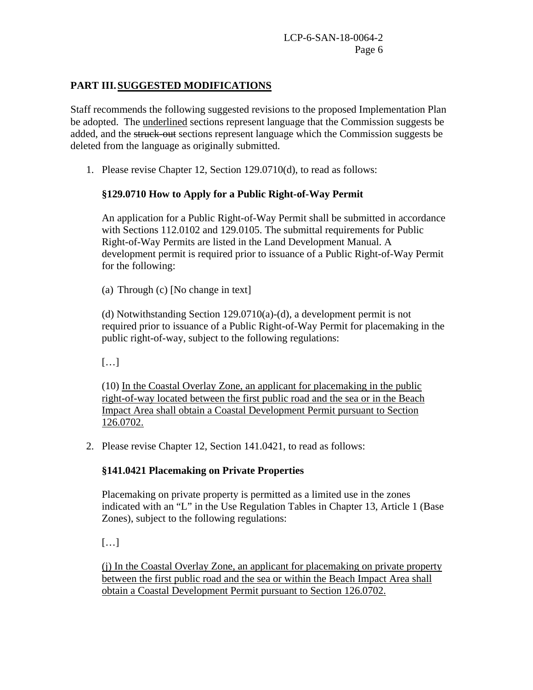## **PART III.SUGGESTED MODIFICATIONS**

Staff recommends the following suggested revisions to the proposed Implementation Plan be adopted. The underlined sections represent language that the Commission suggests be added, and the struck-out sections represent language which the Commission suggests be deleted from the language as originally submitted.

1. Please revise Chapter 12, Section 129.0710(d), to read as follows:

# **§129.0710 How to Apply for a Public Right-of-Way Permit**

An application for a Public Right-of-Way Permit shall be submitted in accordance with Sections 112.0102 and 129.0105. The submittal requirements for Public Right-of-Way Permits are listed in the Land Development Manual. A development permit is required prior to issuance of a Public Right-of-Way Permit for the following:

(a) Through (c) [No change in text]

(d) Notwithstanding Section 129.0710(a)-(d), a development permit is not required prior to issuance of a Public Right-of-Way Permit for placemaking in the public right-of-way, subject to the following regulations:

[…]

(10) In the Coastal Overlay Zone, an applicant for placemaking in the public right-of-way located between the first public road and the sea or in the Beach Impact Area shall obtain a Coastal Development Permit pursuant to Section 126.0702.

2. Please revise Chapter 12, Section 141.0421, to read as follows:

# **§141.0421 Placemaking on Private Properties**

Placemaking on private property is permitted as a limited use in the zones indicated with an "L" in the Use Regulation Tables in Chapter 13, Article 1 (Base Zones), subject to the following regulations:

[…]

(j) In the Coastal Overlay Zone, an applicant for placemaking on private property between the first public road and the sea or within the Beach Impact Area shall obtain a Coastal Development Permit pursuant to Section 126.0702.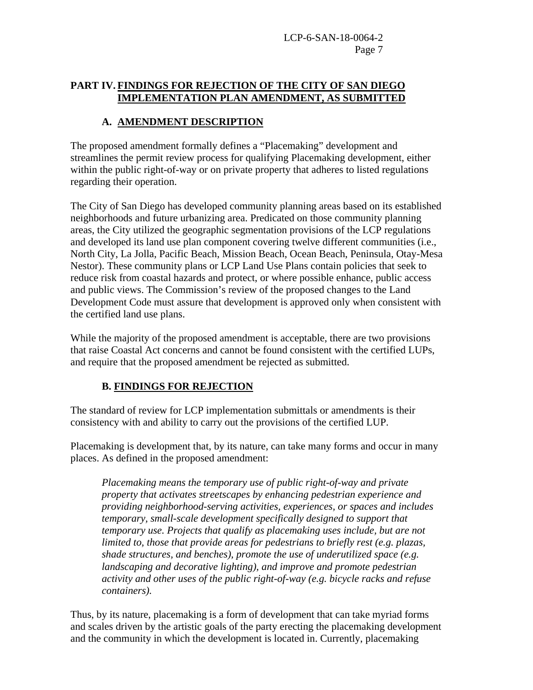## **PART IV. FINDINGS FOR REJECTION OF THE CITY OF SAN DIEGO IMPLEMENTATION PLAN AMENDMENT, AS SUBMITTED**

# **A. AMENDMENT DESCRIPTION**

The proposed amendment formally defines a "Placemaking" development and streamlines the permit review process for qualifying Placemaking development, either within the public right-of-way or on private property that adheres to listed regulations regarding their operation.

The City of San Diego has developed community planning areas based on its established neighborhoods and future urbanizing area. Predicated on those community planning areas, the City utilized the geographic segmentation provisions of the LCP regulations and developed its land use plan component covering twelve different communities (i.e., North City, La Jolla, Pacific Beach, Mission Beach, Ocean Beach, Peninsula, Otay-Mesa Nestor). These community plans or LCP Land Use Plans contain policies that seek to reduce risk from coastal hazards and protect, or where possible enhance, public access and public views. The Commission's review of the proposed changes to the Land Development Code must assure that development is approved only when consistent with the certified land use plans.

While the majority of the proposed amendment is acceptable, there are two provisions that raise Coastal Act concerns and cannot be found consistent with the certified LUPs, and require that the proposed amendment be rejected as submitted.

# **B. FINDINGS FOR REJECTION**

The standard of review for LCP implementation submittals or amendments is their consistency with and ability to carry out the provisions of the certified LUP.

Placemaking is development that, by its nature, can take many forms and occur in many places. As defined in the proposed amendment:

*Placemaking means the temporary use of public right-of-way and private property that activates streetscapes by enhancing pedestrian experience and providing neighborhood-serving activities, experiences, or spaces and includes temporary, small-scale development specifically designed to support that temporary use. Projects that qualify as placemaking uses include, but are not limited to, those that provide areas for pedestrians to briefly rest (e.g. plazas, shade structures, and benches), promote the use of underutilized space (e.g. landscaping and decorative lighting), and improve and promote pedestrian activity and other uses of the public right-of-way (e.g. bicycle racks and refuse containers).*

Thus, by its nature, placemaking is a form of development that can take myriad forms and scales driven by the artistic goals of the party erecting the placemaking development and the community in which the development is located in. Currently, placemaking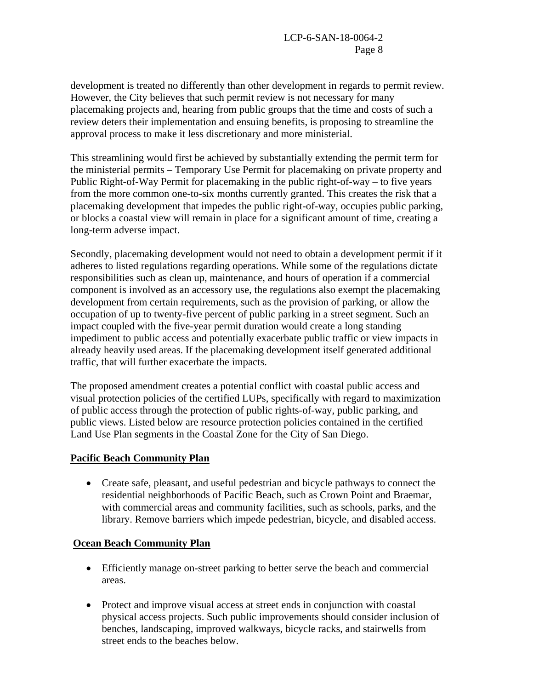development is treated no differently than other development in regards to permit review. However, the City believes that such permit review is not necessary for many placemaking projects and, hearing from public groups that the time and costs of such a review deters their implementation and ensuing benefits, is proposing to streamline the approval process to make it less discretionary and more ministerial.

This streamlining would first be achieved by substantially extending the permit term for the ministerial permits – Temporary Use Permit for placemaking on private property and Public Right-of-Way Permit for placemaking in the public right-of-way – to five years from the more common one-to-six months currently granted. This creates the risk that a placemaking development that impedes the public right-of-way, occupies public parking, or blocks a coastal view will remain in place for a significant amount of time, creating a long-term adverse impact.

Secondly, placemaking development would not need to obtain a development permit if it adheres to listed regulations regarding operations. While some of the regulations dictate responsibilities such as clean up, maintenance, and hours of operation if a commercial component is involved as an accessory use, the regulations also exempt the placemaking development from certain requirements, such as the provision of parking, or allow the occupation of up to twenty-five percent of public parking in a street segment. Such an impact coupled with the five-year permit duration would create a long standing impediment to public access and potentially exacerbate public traffic or view impacts in already heavily used areas. If the placemaking development itself generated additional traffic, that will further exacerbate the impacts.

The proposed amendment creates a potential conflict with coastal public access and visual protection policies of the certified LUPs, specifically with regard to maximization of public access through the protection of public rights-of-way, public parking, and public views. Listed below are resource protection policies contained in the certified Land Use Plan segments in the Coastal Zone for the City of San Diego.

#### **Pacific Beach Community Plan**

• Create safe, pleasant, and useful pedestrian and bicycle pathways to connect the residential neighborhoods of Pacific Beach, such as Crown Point and Braemar, with commercial areas and community facilities, such as schools, parks, and the library. Remove barriers which impede pedestrian, bicycle, and disabled access.

### **Ocean Beach Community Plan**

- Efficiently manage on-street parking to better serve the beach and commercial areas.
- Protect and improve visual access at street ends in conjunction with coastal physical access projects. Such public improvements should consider inclusion of benches, landscaping, improved walkways, bicycle racks, and stairwells from street ends to the beaches below.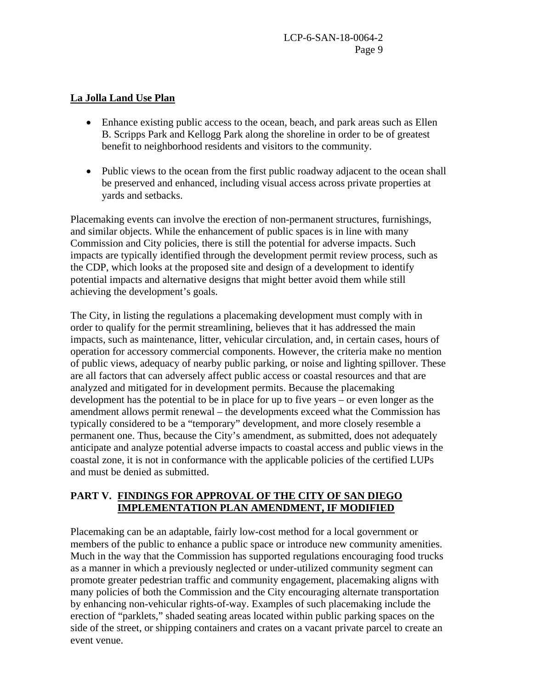#### **La Jolla Land Use Plan**

- Enhance existing public access to the ocean, beach, and park areas such as Ellen B. Scripps Park and Kellogg Park along the shoreline in order to be of greatest benefit to neighborhood residents and visitors to the community.
- Public views to the ocean from the first public roadway adjacent to the ocean shall be preserved and enhanced, including visual access across private properties at yards and setbacks.

Placemaking events can involve the erection of non-permanent structures, furnishings, and similar objects. While the enhancement of public spaces is in line with many Commission and City policies, there is still the potential for adverse impacts. Such impacts are typically identified through the development permit review process, such as the CDP, which looks at the proposed site and design of a development to identify potential impacts and alternative designs that might better avoid them while still achieving the development's goals.

The City, in listing the regulations a placemaking development must comply with in order to qualify for the permit streamlining, believes that it has addressed the main impacts, such as maintenance, litter, vehicular circulation, and, in certain cases, hours of operation for accessory commercial components. However, the criteria make no mention of public views, adequacy of nearby public parking, or noise and lighting spillover. These are all factors that can adversely affect public access or coastal resources and that are analyzed and mitigated for in development permits. Because the placemaking development has the potential to be in place for up to five years – or even longer as the amendment allows permit renewal – the developments exceed what the Commission has typically considered to be a "temporary" development, and more closely resemble a permanent one. Thus, because the City's amendment, as submitted, does not adequately anticipate and analyze potential adverse impacts to coastal access and public views in the coastal zone, it is not in conformance with the applicable policies of the certified LUPs and must be denied as submitted.

### **PART V. FINDINGS FOR APPROVAL OF THE CITY OF SAN DIEGO IMPLEMENTATION PLAN AMENDMENT, IF MODIFIED**

Placemaking can be an adaptable, fairly low-cost method for a local government or members of the public to enhance a public space or introduce new community amenities. Much in the way that the Commission has supported regulations encouraging food trucks as a manner in which a previously neglected or under-utilized community segment can promote greater pedestrian traffic and community engagement, placemaking aligns with many policies of both the Commission and the City encouraging alternate transportation by enhancing non-vehicular rights-of-way. Examples of such placemaking include the erection of "parklets," shaded seating areas located within public parking spaces on the side of the street, or shipping containers and crates on a vacant private parcel to create an event venue.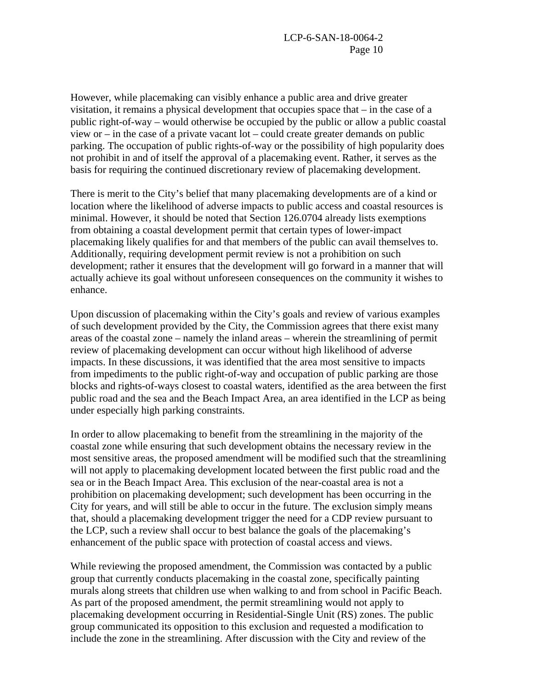However, while placemaking can visibly enhance a public area and drive greater visitation, it remains a physical development that occupies space that – in the case of a public right-of-way – would otherwise be occupied by the public or allow a public coastal view or – in the case of a private vacant lot – could create greater demands on public parking. The occupation of public rights-of-way or the possibility of high popularity does not prohibit in and of itself the approval of a placemaking event. Rather, it serves as the basis for requiring the continued discretionary review of placemaking development.

There is merit to the City's belief that many placemaking developments are of a kind or location where the likelihood of adverse impacts to public access and coastal resources is minimal. However, it should be noted that Section 126.0704 already lists exemptions from obtaining a coastal development permit that certain types of lower-impact placemaking likely qualifies for and that members of the public can avail themselves to. Additionally, requiring development permit review is not a prohibition on such development; rather it ensures that the development will go forward in a manner that will actually achieve its goal without unforeseen consequences on the community it wishes to enhance.

Upon discussion of placemaking within the City's goals and review of various examples of such development provided by the City, the Commission agrees that there exist many areas of the coastal zone – namely the inland areas – wherein the streamlining of permit review of placemaking development can occur without high likelihood of adverse impacts. In these discussions, it was identified that the area most sensitive to impacts from impediments to the public right-of-way and occupation of public parking are those blocks and rights-of-ways closest to coastal waters, identified as the area between the first public road and the sea and the Beach Impact Area, an area identified in the LCP as being under especially high parking constraints.

In order to allow placemaking to benefit from the streamlining in the majority of the coastal zone while ensuring that such development obtains the necessary review in the most sensitive areas, the proposed amendment will be modified such that the streamlining will not apply to placemaking development located between the first public road and the sea or in the Beach Impact Area. This exclusion of the near-coastal area is not a prohibition on placemaking development; such development has been occurring in the City for years, and will still be able to occur in the future. The exclusion simply means that, should a placemaking development trigger the need for a CDP review pursuant to the LCP, such a review shall occur to best balance the goals of the placemaking's enhancement of the public space with protection of coastal access and views.

While reviewing the proposed amendment, the Commission was contacted by a public group that currently conducts placemaking in the coastal zone, specifically painting murals along streets that children use when walking to and from school in Pacific Beach. As part of the proposed amendment, the permit streamlining would not apply to placemaking development occurring in Residential-Single Unit (RS) zones. The public group communicated its opposition to this exclusion and requested a modification to include the zone in the streamlining. After discussion with the City and review of the